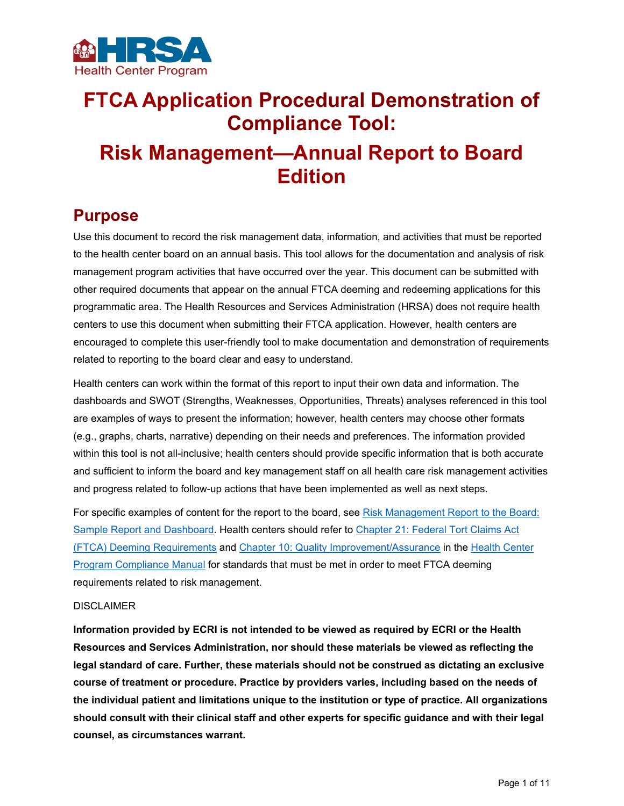

# **FTCA Application Procedural Demonstration of Compliance Tool: Risk Management—Annual Report to Board Edition**

## **Purpose**

Use this document to record the risk management data, information, and activities that must be reported to the health center board on an annual basis. This tool allows for the documentation and analysis of risk management program activities that have occurred over the year. This document can be submitted with other required documents that appear on the annual FTCA deeming and redeeming applications for this programmatic area. The Health Resources and Services Administration (HRSA) does not require health centers to use this document when submitting their FTCA application. However, health centers are encouraged to complete this user-friendly tool to make documentation and demonstration of requirements related to reporting to the board clear and easy to understand.

Health centers can work within the format of this report to input their own data and information. The dashboards and SWOT (Strengths, Weaknesses, Opportunities, Threats) analyses referenced in this tool are examples of ways to present the information; however, health centers may choose other formats (e.g., graphs, charts, narrative) depending on their needs and preferences. The information provided within this tool is not all-inclusive; health centers should provide specific information that is both accurate and sufficient to inform the board and key management staff on all health care risk management activities and progress related to follow-up actions that have been implemented as well as next steps.

For specific examples of content for the report to the board, see [Risk Management Report to the Board:](https://www.ecri.org/components/HRSA/Documents/SPT/PSRM/RMSamplereportdashboard.pdf)  [Sample Report and Dashboard.](https://www.ecri.org/components/HRSA/Documents/SPT/PSRM/RMSamplereportdashboard.pdf) Health centers should refer to [Chapter 21: Federal Tort Claims Act](https://bphc.hrsa.gov/programrequirements/compliancemanual/chapter-21.html#titletop)  [\(FTCA\) Deeming Requirements](https://bphc.hrsa.gov/programrequirements/compliancemanual/chapter-21.html#titletop) and [Chapter 10: Quality Improvement/Assurance](https://bphc.hrsa.gov/programrequirements/compliancemanual/chapter-10.html#titletop) in the [Health Center](https://bphc.hrsa.gov/programrequirements/compliancemanual/introduction.html)  [Program Compliance Manual](https://bphc.hrsa.gov/programrequirements/compliancemanual/introduction.html) for standards that must be met in order to meet FTCA deeming requirements related to risk management.

#### DISCLAIMER

**Information provided by ECRI is not intended to be viewed as required by ECRI or the Health Resources and Services Administration, nor should these materials be viewed as reflecting the legal standard of care. Further, these materials should not be construed as dictating an exclusive course of treatment or procedure. Practice by providers varies, including based on the needs of the individual patient and limitations unique to the institution or type of practice. All organizations should consult with their clinical staff and other experts for specific guidance and with their legal counsel, as circumstances warrant.**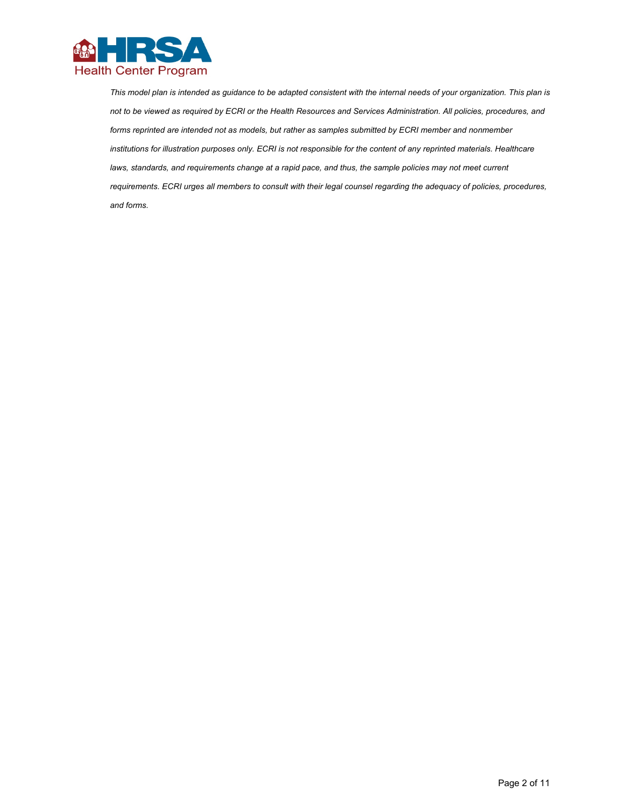

*This model plan is intended as guidance to be adapted consistent with the internal needs of your organization. This plan is not to be viewed as required by ECRI or the Health Resources and Services Administration. All policies, procedures, and*  forms reprinted are intended not as models, but rather as samples submitted by ECRI member and nonmember *institutions for illustration purposes only. ECRI is not responsible for the content of any reprinted materials. Healthcare*  laws, standards, and requirements change at a rapid pace, and thus, the sample policies may not meet current *requirements. ECRI urges all members to consult with their legal counsel regarding the adequacy of policies, procedures, and forms.*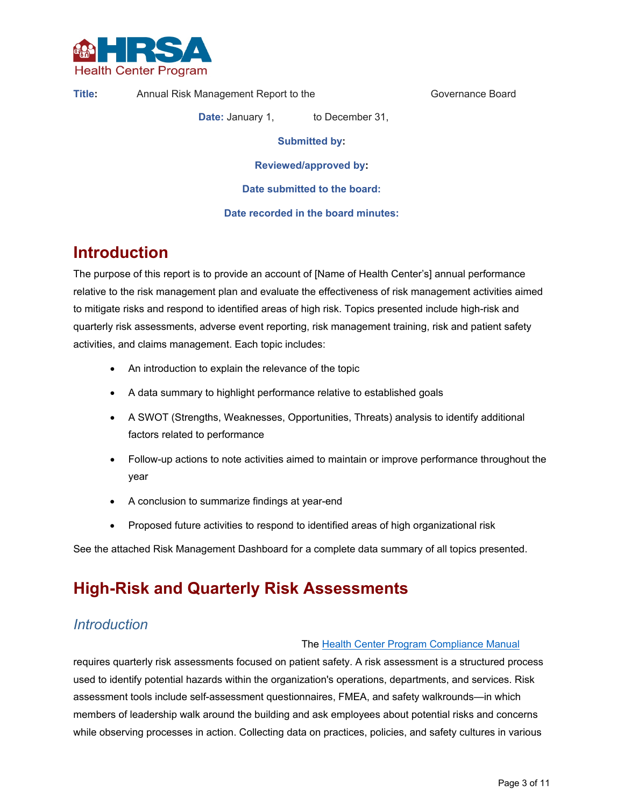

**Title:** Annual Risk Management Report to the Governance Board

**Date:** January 1, to December 31,

**Submitted by:** 

**Reviewed/approved by:** 

**Date submitted to the board:** 

**Date recorded in the board minutes:** 

## **Introduction**

The purpose of this report is to provide an account of [Name of Health Center's] annual performance relative to the risk management plan and evaluate the effectiveness of risk management activities aimed to mitigate risks and respond to identified areas of high risk. Topics presented include high-risk and quarterly risk assessments, adverse event reporting, risk management training, risk and patient safety activities, and claims management. Each topic includes:

- An introduction to explain the relevance of the topic
- A data summary to highlight performance relative to established goals
- A SWOT (Strengths, Weaknesses, Opportunities, Threats) analysis to identify additional factors related to performance
- Follow-up actions to note activities aimed to maintain or improve performance throughout the year
- A conclusion to summarize findings at year-end
- Proposed future activities to respond to identified areas of high organizational risk

See the attached Risk Management Dashboard for a complete data summary of all topics presented.

## **High-Risk and Quarterly Risk Assessments**

## *Introduction*

#### The [Health Center Program Compliance Manual](https://bphc.hrsa.gov/programrequirements/compliancemanual/chapter-21.html)

requires quarterly risk assessments focused on patient safety. A risk assessment is a structured process used to identify potential hazards within the organization's operations, departments, and services. Risk assessment tools include self-assessment questionnaires, FMEA, and safety walkrounds—in which members of leadership walk around the building and ask employees about potential risks and concerns while observing processes in action. Collecting data on practices, policies, and safety cultures in various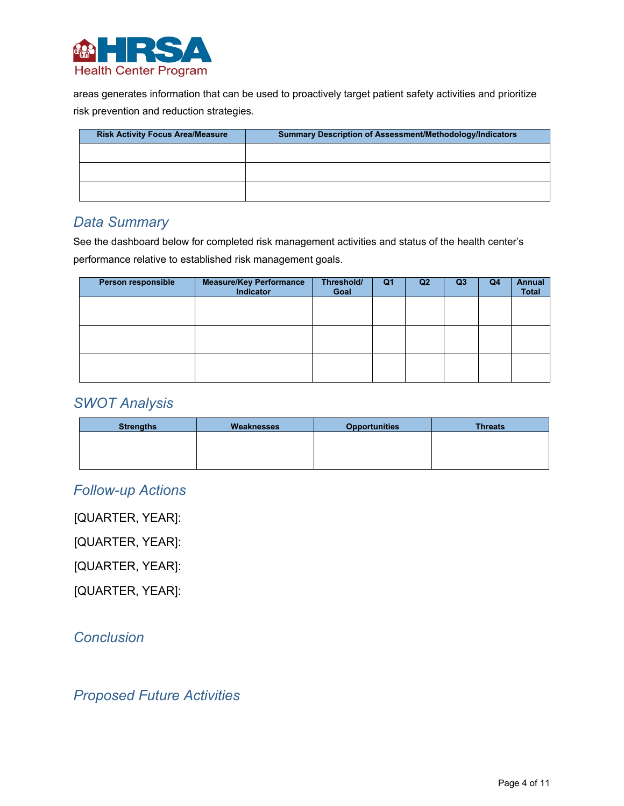

areas generates information that can be used to proactively target patient safety activities and prioritize risk prevention and reduction strategies.

| <b>Risk Activity Focus Area/Measure</b> | <b>Summary Description of Assessment/Methodology/Indicators</b> |
|-----------------------------------------|-----------------------------------------------------------------|
|                                         |                                                                 |
|                                         |                                                                 |
|                                         |                                                                 |
|                                         |                                                                 |

## *Data Summary*

See the dashboard below for completed risk management activities and status of the health center's performance relative to established risk management goals.

| Person responsible | <b>Measure/Key Performance</b><br>Indicator | Threshold/<br>Goal | Q <sub>1</sub> | Q <sub>2</sub> | Q <sub>3</sub> | Q <sub>4</sub> | <b>Annual</b><br><b>Total</b> |
|--------------------|---------------------------------------------|--------------------|----------------|----------------|----------------|----------------|-------------------------------|
|                    |                                             |                    |                |                |                |                |                               |
|                    |                                             |                    |                |                |                |                |                               |
|                    |                                             |                    |                |                |                |                |                               |
|                    |                                             |                    |                |                |                |                |                               |
|                    |                                             |                    |                |                |                |                |                               |
|                    |                                             |                    |                |                |                |                |                               |

### *SWOT Analysis*

| <b>Strengths</b> | Weaknesses | <b>Opportunities</b> | <b>Threats</b> |
|------------------|------------|----------------------|----------------|
|                  |            |                      |                |
|                  |            |                      |                |
|                  |            |                      |                |

## *Follow-up Actions*

[QUARTER, YEAR]:

[QUARTER, YEAR]:

[QUARTER, YEAR]:

[QUARTER, YEAR]:

## *Conclusion*

## *Proposed Future Activities*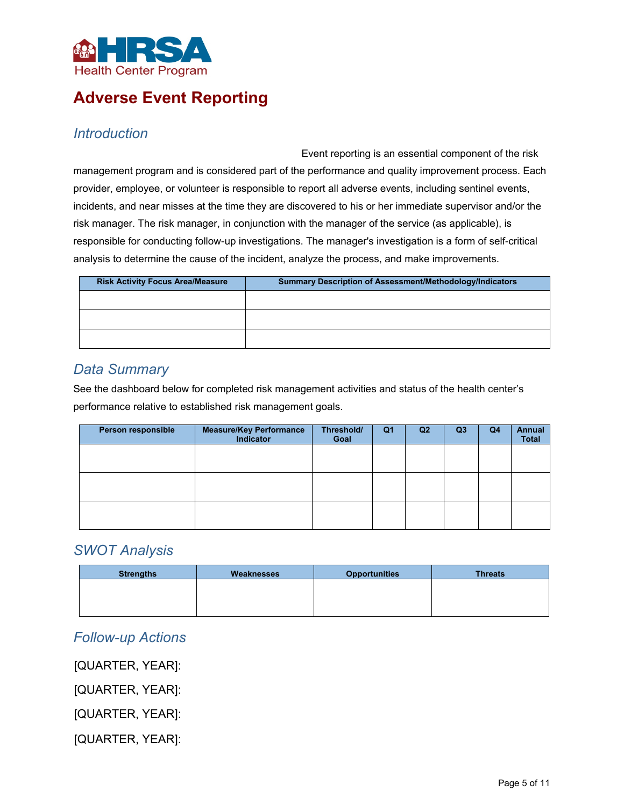

## **Adverse Event Reporting**

### *Introduction*

Event reporting is an essential component of the risk management program and is considered part of the performance and quality improvement process. Each provider, employee, or volunteer is responsible to report all adverse events, including sentinel events, incidents, and near misses at the time they are discovered to his or her immediate supervisor and/or the risk manager. The risk manager, in conjunction with the manager of the service (as applicable), is responsible for conducting follow-up investigations. The manager's investigation is a form of self-critical analysis to determine the cause of the incident, analyze the process, and make improvements.

| <b>Risk Activity Focus Area/Measure</b> | <b>Summary Description of Assessment/Methodology/Indicators</b> |
|-----------------------------------------|-----------------------------------------------------------------|
|                                         |                                                                 |
|                                         |                                                                 |
|                                         |                                                                 |
|                                         |                                                                 |

## *Data Summary*

See the dashboard below for completed risk management activities and status of the health center's performance relative to established risk management goals.

| Person responsible | <b>Measure/Key Performance</b><br>Indicator | Threshold/<br>Goal | Q <sub>1</sub> | Q <sub>2</sub> | Q <sub>3</sub> | Q <sub>4</sub> | <b>Annual</b><br>Total |
|--------------------|---------------------------------------------|--------------------|----------------|----------------|----------------|----------------|------------------------|
|                    |                                             |                    |                |                |                |                |                        |
|                    |                                             |                    |                |                |                |                |                        |
|                    |                                             |                    |                |                |                |                |                        |
|                    |                                             |                    |                |                |                |                |                        |
|                    |                                             |                    |                |                |                |                |                        |
|                    |                                             |                    |                |                |                |                |                        |

## *SWOT Analysis*

| <b>Strengths</b> | Weaknesses | <b>Opportunities</b> | <b>Threats</b> |
|------------------|------------|----------------------|----------------|
|                  |            |                      |                |
|                  |            |                      |                |
|                  |            |                      |                |

## *Follow-up Actions*

[QUARTER, YEAR]:

[QUARTER, YEAR]:

[QUARTER, YEAR]:

[QUARTER, YEAR]: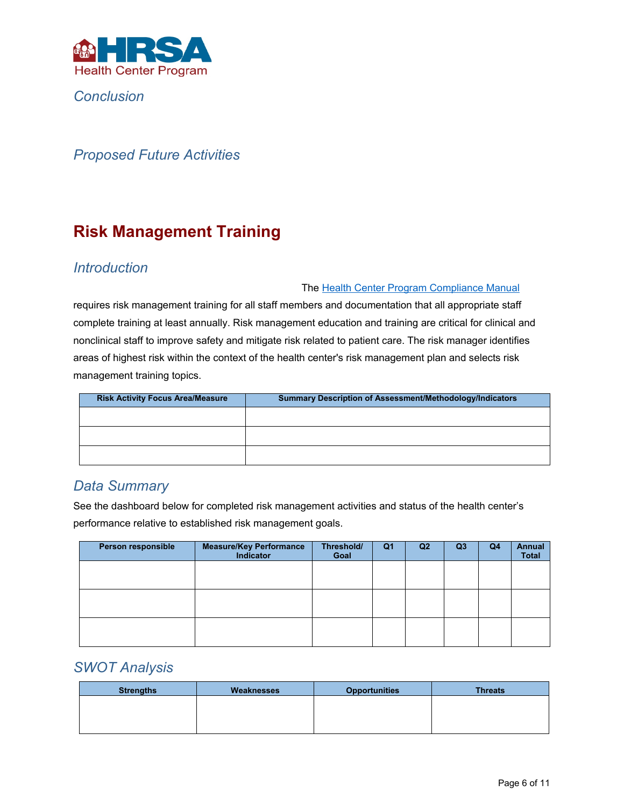

*Conclusion* 

## *Proposed Future Activities*

## **Risk Management Training**

### *Introduction*

#### The [Health Center Program Compliance Manual](https://bphc.hrsa.gov/programrequirements/compliancemanual/chapter-21.html#titletop)

requires risk management training for all staff members and documentation that all appropriate staff complete training at least annually. Risk management education and training are critical for clinical and nonclinical staff to improve safety and mitigate risk related to patient care. The risk manager identifies areas of highest risk within the context of the health center's risk management plan and selects risk management training topics.

| <b>Risk Activity Focus Area/Measure</b> | <b>Summary Description of Assessment/Methodology/Indicators</b> |
|-----------------------------------------|-----------------------------------------------------------------|
|                                         |                                                                 |
|                                         |                                                                 |
|                                         |                                                                 |
|                                         |                                                                 |

### *Data Summary*

See the dashboard below for completed risk management activities and status of the health center's performance relative to established risk management goals.

| Person responsible | <b>Measure/Key Performance</b><br><b>Indicator</b> | Threshold/<br>Goal | Q1 | Q <sub>2</sub> | Q <sub>3</sub> | Q4 | <b>Annual</b><br><b>Total</b> |
|--------------------|----------------------------------------------------|--------------------|----|----------------|----------------|----|-------------------------------|
|                    |                                                    |                    |    |                |                |    |                               |
|                    |                                                    |                    |    |                |                |    |                               |
|                    |                                                    |                    |    |                |                |    |                               |
|                    |                                                    |                    |    |                |                |    |                               |
|                    |                                                    |                    |    |                |                |    |                               |
|                    |                                                    |                    |    |                |                |    |                               |

## *SWOT Analysis*

| <b>Strengths</b> | Weaknesses | <b>Opportunities</b> | <b>Threats</b> |
|------------------|------------|----------------------|----------------|
|                  |            |                      |                |
|                  |            |                      |                |
|                  |            |                      |                |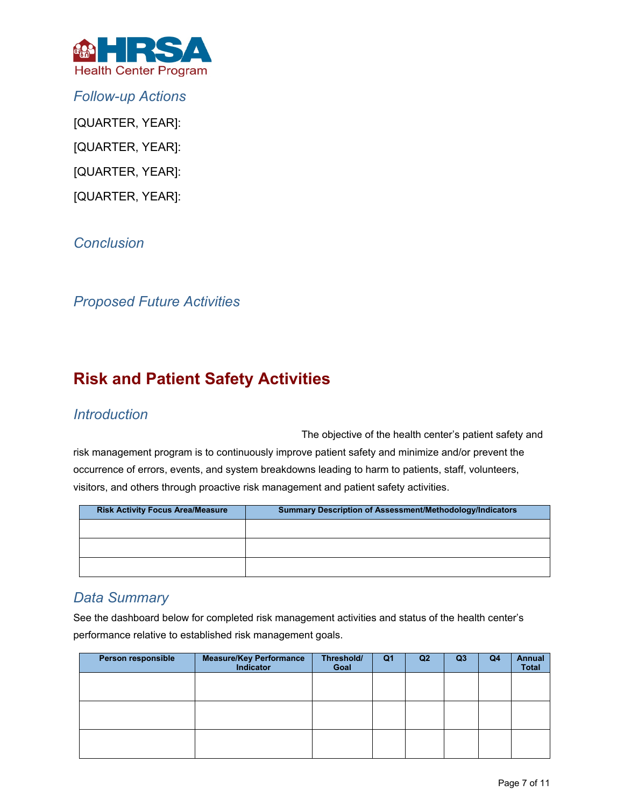

*Follow-up Actions* [QUARTER, YEAR]: [QUARTER, YEAR]: [QUARTER, YEAR]:

[QUARTER, YEAR]:

*Conclusion* 

*Proposed Future Activities* 

## **Risk and Patient Safety Activities**

## *Introduction*

The objective of the health center's patient safety and

risk management program is to continuously improve patient safety and minimize and/or prevent the occurrence of errors, events, and system breakdowns leading to harm to patients, staff, volunteers, visitors, and others through proactive risk management and patient safety activities.

| <b>Risk Activity Focus Area/Measure</b> | <b>Summary Description of Assessment/Methodology/Indicators</b> |
|-----------------------------------------|-----------------------------------------------------------------|
|                                         |                                                                 |
|                                         |                                                                 |
|                                         |                                                                 |
|                                         |                                                                 |

## *Data Summary*

See the dashboard below for completed risk management activities and status of the health center's performance relative to established risk management goals.

| Person responsible | <b>Measure/Key Performance</b><br><b>Indicator</b> | Threshold/<br>Goal | Q1 | Q <sub>2</sub> | Q <sub>3</sub> | Q4 | <b>Annual</b><br><b>Total</b> |
|--------------------|----------------------------------------------------|--------------------|----|----------------|----------------|----|-------------------------------|
|                    |                                                    |                    |    |                |                |    |                               |
|                    |                                                    |                    |    |                |                |    |                               |
|                    |                                                    |                    |    |                |                |    |                               |
|                    |                                                    |                    |    |                |                |    |                               |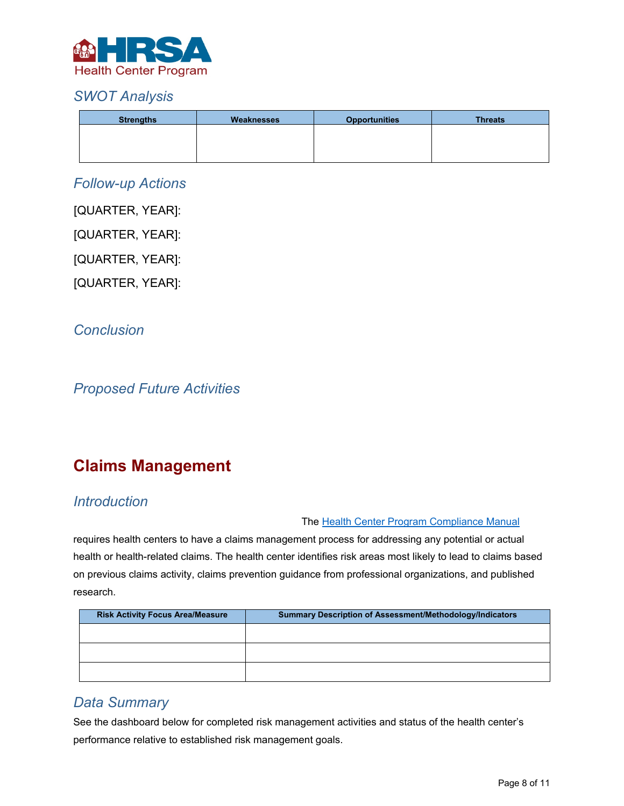

## *SWOT Analysis*

| <b>Strengths</b> | Weaknesses | <b>Opportunities</b> | <b>Threats</b> |
|------------------|------------|----------------------|----------------|
|                  |            |                      |                |
|                  |            |                      |                |
|                  |            |                      |                |

### *Follow-up Actions*

[QUARTER, YEAR]:

[QUARTER, YEAR]:

[QUARTER, YEAR]:

[QUARTER, YEAR]:

*Conclusion* 

*Proposed Future Activities* 

## **Claims Management**

## *Introduction*

#### The [Health Center Program Compliance Manual](https://bphc.hrsa.gov/programrequirements/compliancemanual/chapter-21.html#titletop)

requires health centers to have a claims management process for addressing any potential or actual health or health-related claims. The health center identifies risk areas most likely to lead to claims based on previous claims activity, claims prevention guidance from professional organizations, and published research.

| <b>Risk Activity Focus Area/Measure</b> | <b>Summary Description of Assessment/Methodology/Indicators</b> |  |  |  |  |
|-----------------------------------------|-----------------------------------------------------------------|--|--|--|--|
|                                         |                                                                 |  |  |  |  |
|                                         |                                                                 |  |  |  |  |
|                                         |                                                                 |  |  |  |  |
|                                         |                                                                 |  |  |  |  |

## *Data Summary*

See the dashboard below for completed risk management activities and status of the health center's performance relative to established risk management goals.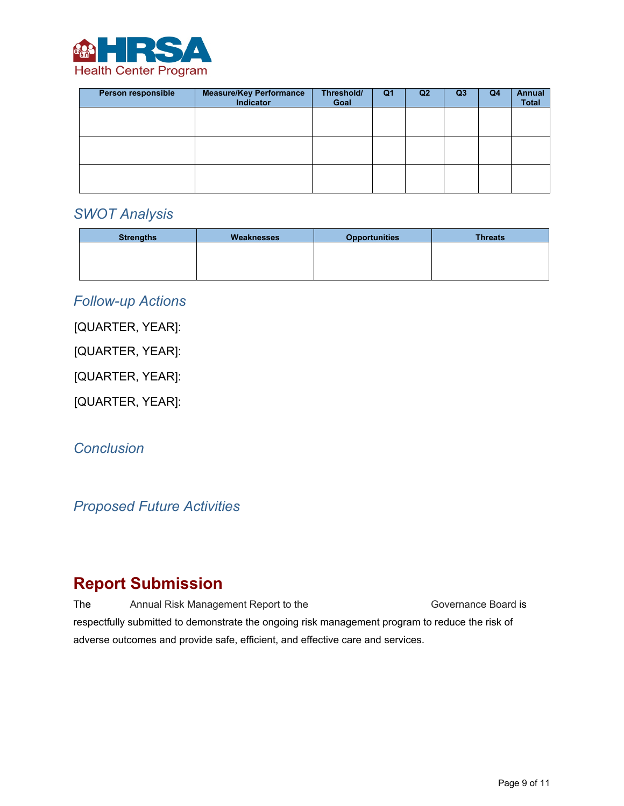

| Person responsible | <b>Measure/Key Performance</b><br>Indicator | Threshold/<br>Goal | Q1 | Q2 | Q <sub>3</sub> | Q4 | <b>Annual</b><br><b>Total</b> |
|--------------------|---------------------------------------------|--------------------|----|----|----------------|----|-------------------------------|
|                    |                                             |                    |    |    |                |    |                               |
|                    |                                             |                    |    |    |                |    |                               |
|                    |                                             |                    |    |    |                |    |                               |
|                    |                                             |                    |    |    |                |    |                               |
|                    |                                             |                    |    |    |                |    |                               |
|                    |                                             |                    |    |    |                |    |                               |

### *SWOT Analysis*

| <b>Strengths</b> | Weaknesses | <b>Opportunities</b> | <b>Threats</b> |
|------------------|------------|----------------------|----------------|
|                  |            |                      |                |
|                  |            |                      |                |
|                  |            |                      |                |

### *Follow-up Actions*

[QUARTER, YEAR]:

[QUARTER, YEAR]:

[QUARTER, YEAR]:

[QUARTER, YEAR]:

*Conclusion* 

*Proposed Future Activities* 

## **Report Submission**

The Annual Risk Management Report to the Governance Board is respectfully submitted to demonstrate the ongoing risk management program to reduce the risk of adverse outcomes and provide safe, efficient, and effective care and services.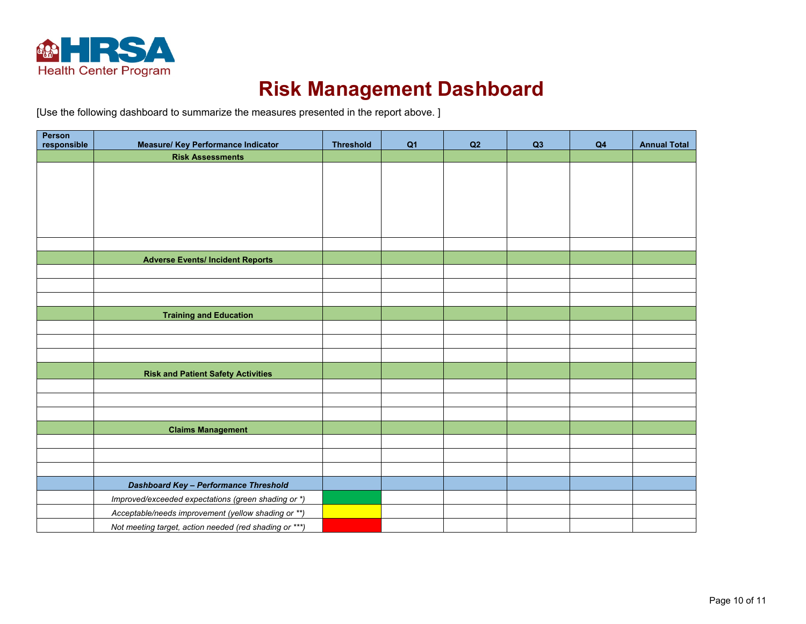

# **Risk Management Dashboard**

[Use the following dashboard to summarize the measures presented in the report above. ]

| Person      |                                                                      |                  |                |    |    |                |                     |
|-------------|----------------------------------------------------------------------|------------------|----------------|----|----|----------------|---------------------|
| responsible | <b>Measure/ Key Performance Indicator</b><br><b>Risk Assessments</b> | <b>Threshold</b> | Q <sub>1</sub> | Q2 | Q3 | Q <sub>4</sub> | <b>Annual Total</b> |
|             |                                                                      |                  |                |    |    |                |                     |
|             |                                                                      |                  |                |    |    |                |                     |
|             |                                                                      |                  |                |    |    |                |                     |
|             |                                                                      |                  |                |    |    |                |                     |
|             |                                                                      |                  |                |    |    |                |                     |
|             |                                                                      |                  |                |    |    |                |                     |
|             |                                                                      |                  |                |    |    |                |                     |
|             | <b>Adverse Events/ Incident Reports</b>                              |                  |                |    |    |                |                     |
|             |                                                                      |                  |                |    |    |                |                     |
|             |                                                                      |                  |                |    |    |                |                     |
|             | <b>Training and Education</b>                                        |                  |                |    |    |                |                     |
|             |                                                                      |                  |                |    |    |                |                     |
|             |                                                                      |                  |                |    |    |                |                     |
|             |                                                                      |                  |                |    |    |                |                     |
|             |                                                                      |                  |                |    |    |                |                     |
|             | <b>Risk and Patient Safety Activities</b>                            |                  |                |    |    |                |                     |
|             |                                                                      |                  |                |    |    |                |                     |
|             |                                                                      |                  |                |    |    |                |                     |
|             | <b>Claims Management</b>                                             |                  |                |    |    |                |                     |
|             |                                                                      |                  |                |    |    |                |                     |
|             |                                                                      |                  |                |    |    |                |                     |
|             |                                                                      |                  |                |    |    |                |                     |
|             | <b>Dashboard Key - Performance Threshold</b>                         |                  |                |    |    |                |                     |
|             | Improved/exceeded expectations (green shading or *)                  |                  |                |    |    |                |                     |
|             | Acceptable/needs improvement (yellow shading or **)                  |                  |                |    |    |                |                     |
|             | Not meeting target, action needed (red shading or ***)               |                  |                |    |    |                |                     |